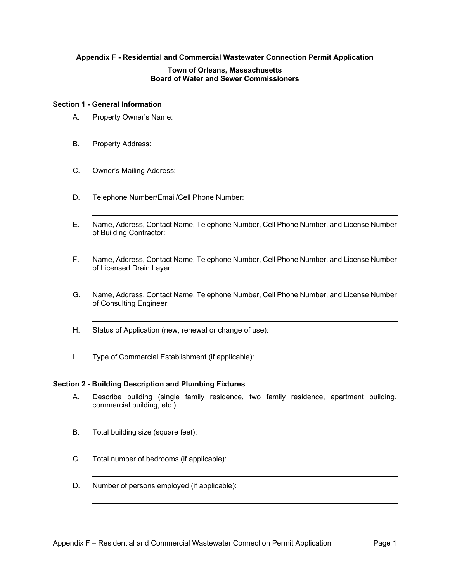# **Appendix F - Residential and Commercial Wastewater Connection Permit Application**

### **Town of Orleans, Massachusetts Board of Water and Sewer Commissioners**

#### **Section 1 - General Information**

- A. Property Owner's Name:
- B. Property Address:
- C. Owner's Mailing Address:
- D. Telephone Number/Email/Cell Phone Number:
- E. Name, Address, Contact Name, Telephone Number, Cell Phone Number, and License Number of Building Contractor:
- F. Name, Address, Contact Name, Telephone Number, Cell Phone Number, and License Number of Licensed Drain Layer:
- G. Name, Address, Contact Name, Telephone Number, Cell Phone Number, and License Number of Consulting Engineer:
- H. Status of Application (new, renewal or change of use):
- I. Type of Commercial Establishment (if applicable):

# **Section 2 - Building Description and Plumbing Fixtures**

- A. Describe building (single family residence, two family residence, apartment building, commercial building, etc.):
- B. Total building size (square feet):
- C. Total number of bedrooms (if applicable):
- D. Number of persons employed (if applicable):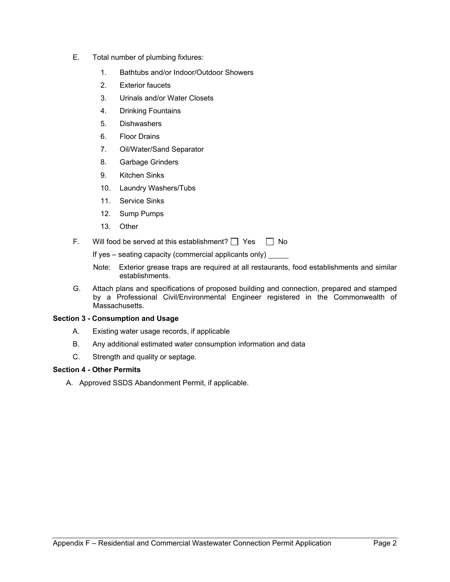- E. Total number of plumbing fixtures:
	- 1. Bathtubs and/or Indoor/Outdoor Showers
	- 2. Exterior faucets
	- 3. Urinals and/or Water Closets
	- 4. Drinking Fountains
	- 5. Dishwashers
	- 6. Floor Drains
	- 7. Oil/Water/Sand Separator
	- 8. Garbage Grinders
	- 9. Kitchen Sinks
	- 10. Laundry Washers/Tubs
	- 11. Service Sinks
	- 12. Sump Pumps
	- 13. Other
- F. Will food be served at this establishment?  $\Box$  Yes  $\Box$  No

If yes – seating capacity (commercial applicants only)

- Note: Exterior grease traps are required at all restaurants, food establishments and similar establishments.
- G. Attach plans and specifications of proposed building and connection, prepared and stamped by a Professional Civil/Environmental Engineer registered in the Commonwealth of Massachusetts.

# **Section 3 - Consumption and Usage**

- A. Existing water usage records, if applicable
- B. Any additional estimated water consumption information and data
- C. Strength and quality or septage.

# **Section 4 - Other Permits**

A. Approved SSDS Abandonment Permit, if applicable.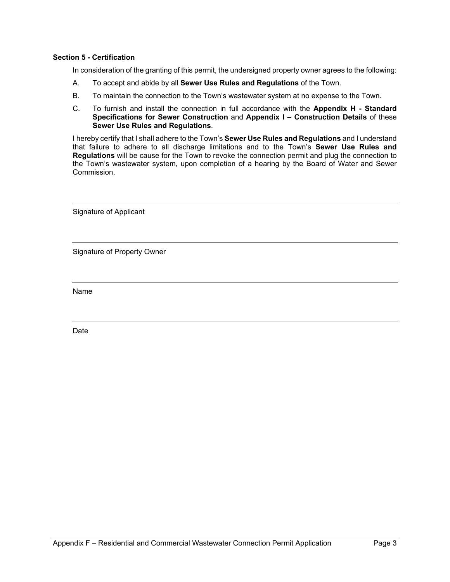# **Section 5 - Certification**

In consideration of the granting of this permit, the undersigned property owner agrees to the following:

- A. To accept and abide by all **Sewer Use Rules and Regulations** of the Town.
- B. To maintain the connection to the Town's wastewater system at no expense to the Town.
- C. To furnish and install the connection in full accordance with the **Appendix H Standard Specifications for Sewer Construction** and **Appendix I – Construction Details** of these **Sewer Use Rules and Regulations**.

I hereby certify that I shall adhere to the Town's **Sewer Use Rules and Regulations** and I understand that failure to adhere to all discharge limitations and to the Town's **Sewer Use Rules and Regulations** will be cause for the Town to revoke the connection permit and plug the connection to the Town's wastewater system, upon completion of a hearing by the Board of Water and Sewer Commission.

Signature of Applicant

Signature of Property Owner

Name

Date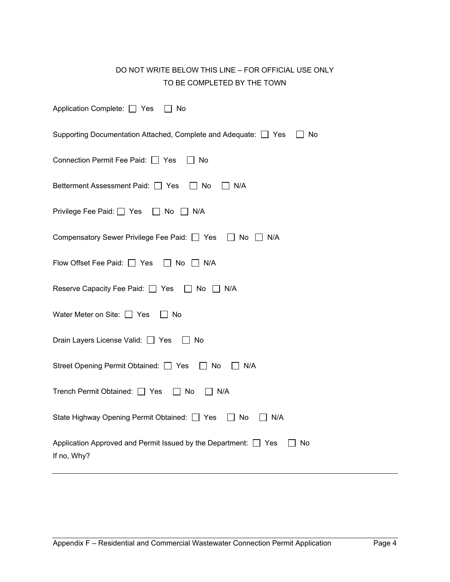# DO NOT WRITE BELOW THIS LINE – FOR OFFICIAL USE ONLY TO BE COMPLETED BY THE TOWN

| Application Complete: □ Yes □ No                                                                 |
|--------------------------------------------------------------------------------------------------|
| Supporting Documentation Attached, Complete and Adequate: □ Yes □ No                             |
| Connection Permit Fee Paid: □ Yes<br>$\Box$ No                                                   |
| Betterment Assessment Paid: □ Yes □ No<br>$\Box$ N/A                                             |
| Privilege Fee Paid: Ves □ No □ N/A                                                               |
| Compensatory Sewer Privilege Fee Paid: □ Yes □ No □ N/A                                          |
| Flow Offset Fee Paid: □ Yes □ No □ N/A                                                           |
| Reserve Capacity Fee Paid: □ Yes □ No □ N/A                                                      |
| Water Meter on Site: $\Box$ Yes<br>∣ ∣ No                                                        |
| Drain Layers License Valid: Ves   No                                                             |
| Street Opening Permit Obtained: □ Yes □ No<br>$\Box$ N/A                                         |
| Trench Permit Obtained: □ Yes □ No<br>N/A                                                        |
| State Highway Opening Permit Obtained: □ Yes □ No<br>$\Box$ N/A                                  |
| Application Approved and Permit Issued by the Department: $\Box$ Yes<br>$\Box$ No<br>If no, Why? |